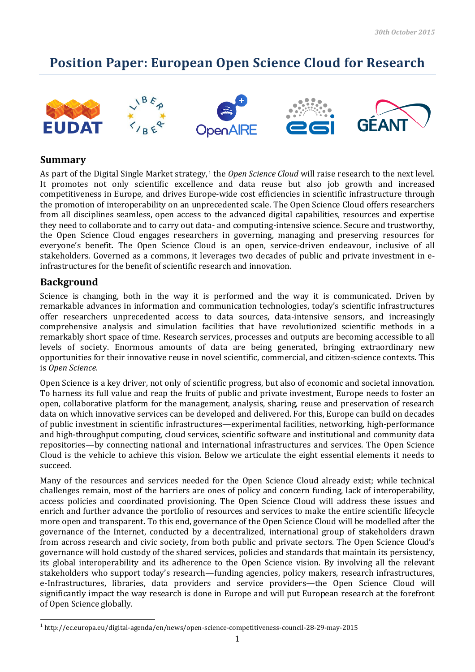## **Position Paper: European Open Science Cloud for Research**











## **Summary**

As part of the Digital Single Market strategy, <sup>1</sup> the *Open Science Cloud* will raise research to the next level. It promotes not only scientific excellence and data reuse but also job growth and increased competitiveness in Europe, and drives Europe-wide cost efficiencies in scientific infrastructure through the promotion of interoperability on an unprecedented scale. The Open Science Cloud offers researchers from all disciplines seamless, open access to the advanced digital capabilities, resources and expertise they need to collaborate and to carry out data- and computing-intensive science. Secure and trustworthy, the Open Science Cloud engages researchers in governing, managing and preserving resources for everyone's benefit. The Open Science Cloud is an open, service-driven endeavour, inclusive of all stakeholders. Governed as a commons, it leverages two decades of public and private investment in einfrastructures for the benefit of scientific research and innovation.

## **Background**

Science is changing, both in the way it is performed and the way it is communicated. Driven by remarkable advances in information and communication technologies, today's scientific infrastructures offer researchers unprecedented access to data sources, data-intensive sensors, and increasingly comprehensive analysis and simulation facilities that have revolutionized scientific methods in a remarkably short space of time. Research services, processes and outputs are becoming accessible to all levels of society. Enormous amounts of data are being generated, bringing extraordinary new opportunities for their innovative reuse in novel scientific, commercial, and citizen-science contexts. This is *Open Science*.

Open Science is a key driver, not only of scientific progress, but also of economic and societal innovation. To harness its full value and reap the fruits of public and private investment, Europe needs to foster an open, collaborative platform for the management, analysis, sharing, reuse and preservation of research data on which innovative services can be developed and delivered. For this, Europe can build on decades of public investment in scientific infrastructures—experimental facilities, networking, high-performance and high-throughput computing, cloud services, scientific software and institutional and community data repositories—by connecting national and international infrastructures and services. The Open Science Cloud is the vehicle to achieve this vision. Below we articulate the eight essential elements it needs to succeed.

Many of the resources and services needed for the Open Science Cloud already exist; while technical challenges remain, most of the barriers are ones of policy and concern funding, lack of interoperability, access policies and coordinated provisioning. The Open Science Cloud will address these issues and enrich and further advance the portfolio of resources and services to make the entire scientific lifecycle more open and transparent. To this end, governance of the Open Science Cloud will be modelled after the governance of the Internet, conducted by a decentralized, international group of stakeholders drawn from across research and civic society, from both public and private sectors. The Open Science Cloud's governance will hold custody of the shared services, policies and standards that maintain its persistency, its global interoperability and its adherence to the Open Science vision. By involving all the relevant stakeholders who support today's research—funding agencies, policy makers, research infrastructures, e-Infrastructures, libraries, data providers and service providers—the Open Science Cloud will significantly impact the way research is done in Europe and will put European research at the forefront of Open Science globally.

 $\overline{a}$ 1 http://ec.europa.eu/digital-agenda/en/news/open-science-competitiveness-council-28-29-may-2015